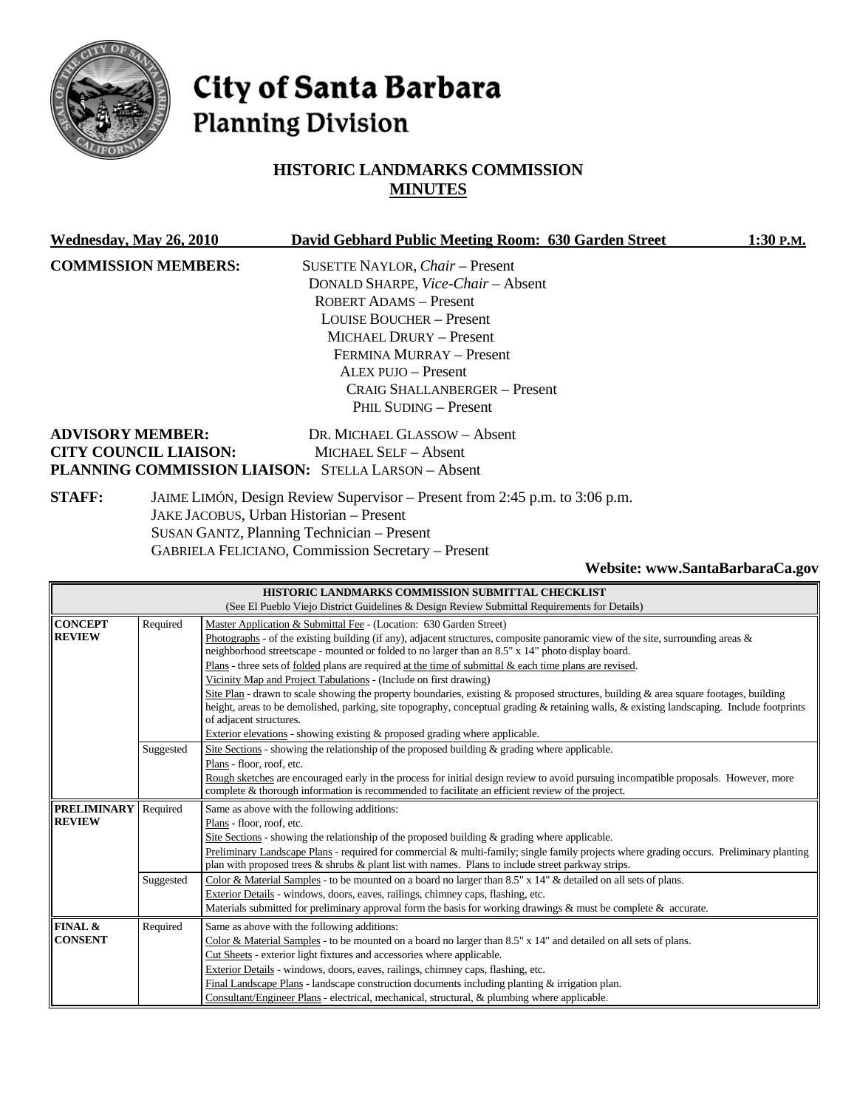

**FINAL & CONSENT**

# City of Santa Barbara **Planning Division**

# **HISTORIC LANDMARKS COMMISSION MINUTES**

| Wednesday, May 26, 2010                                 |           | David Gebhard Public Meeting Room: 630 Garden Street<br>1:30 P.M.                                                                                                                                                                                                                                                                                                                                                                                                                                                                                                                                                                                                                                                                                                                                                                                                                           |
|---------------------------------------------------------|-----------|---------------------------------------------------------------------------------------------------------------------------------------------------------------------------------------------------------------------------------------------------------------------------------------------------------------------------------------------------------------------------------------------------------------------------------------------------------------------------------------------------------------------------------------------------------------------------------------------------------------------------------------------------------------------------------------------------------------------------------------------------------------------------------------------------------------------------------------------------------------------------------------------|
| <b>COMMISSION MEMBERS:</b>                              |           | SUSETTE NAYLOR, Chair - Present<br>DONALD SHARPE, Vice-Chair - Absent<br><b>ROBERT ADAMS - Present</b><br><b>LOUISE BOUCHER - Present</b><br><b>MICHAEL DRURY - Present</b><br>FERMINA MURRAY - Present<br><b>ALEX PUJO - Present</b><br><b>CRAIG SHALLANBERGER - Present</b><br>PHIL SUDING - Present                                                                                                                                                                                                                                                                                                                                                                                                                                                                                                                                                                                      |
| <b>ADVISORY MEMBER:</b><br><b>CITY COUNCIL LIAISON:</b> |           | DR. MICHAEL GLASSOW - Absent<br><b>MICHAEL SELF - Absent</b><br>PLANNING COMMISSION LIAISON: STELLA LARSON - Absent                                                                                                                                                                                                                                                                                                                                                                                                                                                                                                                                                                                                                                                                                                                                                                         |
| <b>STAFF:</b>                                           |           | JAIME LIMÓN, Design Review Supervisor – Present from 2:45 p.m. to 3:06 p.m.<br>JAKE JACOBUS, Urban Historian - Present<br><b>SUSAN GANTZ, Planning Technician - Present</b><br><b>GABRIELA FELICIANO, Commission Secretary - Present</b><br>Website: www.SantaBarbaraCa.gov                                                                                                                                                                                                                                                                                                                                                                                                                                                                                                                                                                                                                 |
|                                                         |           | HISTORIC LANDMARKS COMMISSION SUBMITTAL CHECKLIST<br>(See El Pueblo Viejo District Guidelines & Design Review Submittal Requirements for Details)                                                                                                                                                                                                                                                                                                                                                                                                                                                                                                                                                                                                                                                                                                                                           |
| <b>CONCEPT</b><br><b>REVIEW</b>                         | Required  | Master Application & Submittal Fee - (Location: 630 Garden Street)<br>Photographs - of the existing building (if any), adjacent structures, composite panoramic view of the site, surrounding areas &<br>neighborhood streetscape - mounted or folded to no larger than an 8.5" x 14" photo display board.<br>Plans - three sets of folded plans are required at the time of submittal & each time plans are revised.<br>Vicinity Map and Project Tabulations - (Include on first drawing)<br>Site Plan - drawn to scale showing the property boundaries, existing & proposed structures, building & area square footages, building<br>height, areas to be demolished, parking, site topography, conceptual grading & retaining walls, & existing landscaping. Include footprints<br>of adjacent structures.<br>Exterior elevations - showing existing & proposed grading where applicable. |
|                                                         | Suggested | Site Sections - showing the relationship of the proposed building $\&$ grading where applicable.<br>Plans - floor, roof, etc.<br>Rough sketches are encouraged early in the process for initial design review to avoid pursuing incompatible proposals. However, more<br>complete & thorough information is recommended to facilitate an efficient review of the project.                                                                                                                                                                                                                                                                                                                                                                                                                                                                                                                   |
| <b>PRELIMINARY</b> Required<br><b>REVIEW</b>            |           | Same as above with the following additions:<br>Plans - floor, roof, etc.<br>Site Sections - showing the relationship of the proposed building & grading where applicable.<br>Preliminary Landscape Plans - required for commercial & multi-family; single family projects where grading occurs. Preliminary planting<br>plan with proposed trees & shrubs & plant list with names. Plans to include street parkway strips.                                                                                                                                                                                                                                                                                                                                                                                                                                                                  |
|                                                         | Suggested | Color & Material Samples - to be mounted on a board no larger than 8.5" x 14" & detailed on all sets of plans.                                                                                                                                                                                                                                                                                                                                                                                                                                                                                                                                                                                                                                                                                                                                                                              |

Exterior Details - windows, doors, eaves, railings, chimney caps, flashing, etc.

Cut Sheets - exterior light fixtures and accessories where applicable. Exterior Details - windows, doors, eaves, railings, chimney caps, flashing, etc.

Required Same as above with the following additions:

Materials submitted for preliminary approval form the basis for working drawings & must be complete & accurate.

Color & Material Samples - to be mounted on a board no larger than 8.5" x 14" and detailed on all sets of plans.

Final Landscape Plans - landscape construction documents including planting & irrigation plan. Consultant/Engineer Plans - electrical, mechanical, structural, & plumbing where applicable.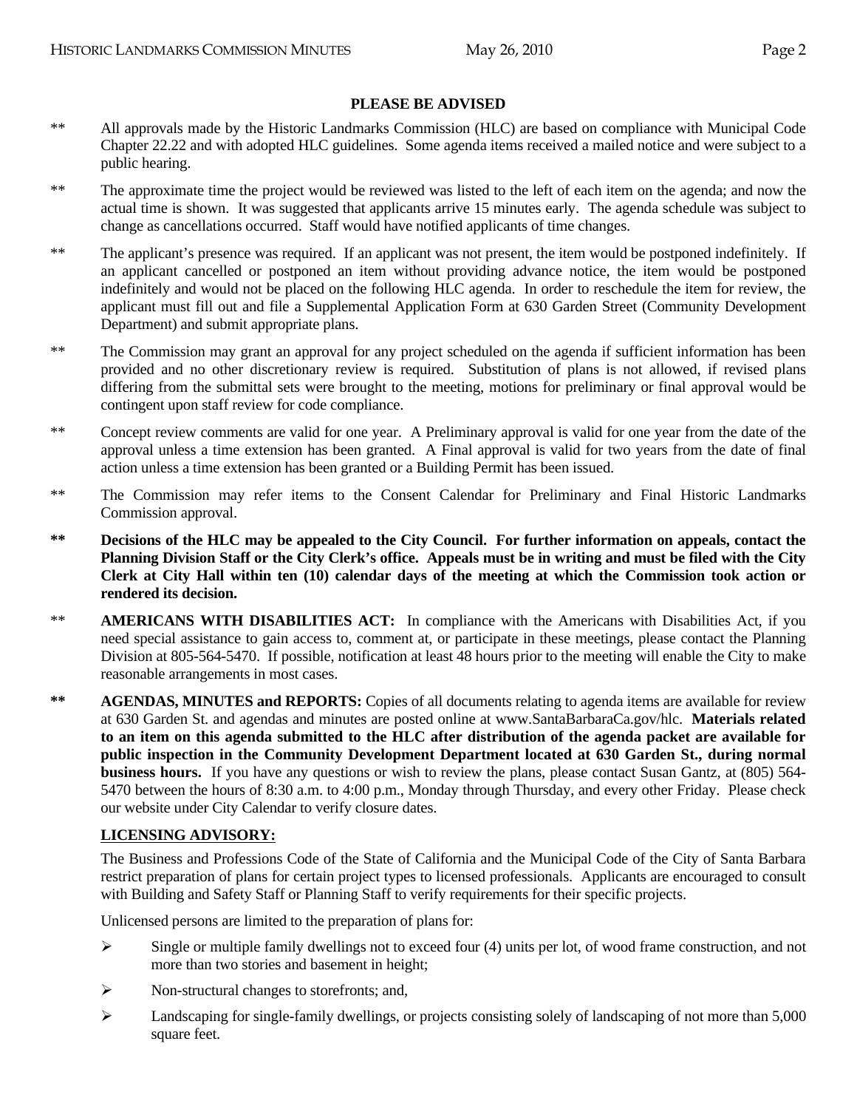#### **PLEASE BE ADVISED**

- \*\* All approvals made by the Historic Landmarks Commission (HLC) are based on compliance with Municipal Code Chapter 22.22 and with adopted HLC guidelines. Some agenda items received a mailed notice and were subject to a public hearing.
- \*\* The approximate time the project would be reviewed was listed to the left of each item on the agenda; and now the actual time is shown. It was suggested that applicants arrive 15 minutes early. The agenda schedule was subject to change as cancellations occurred. Staff would have notified applicants of time changes.
- \*\* The applicant's presence was required. If an applicant was not present, the item would be postponed indefinitely. If an applicant cancelled or postponed an item without providing advance notice, the item would be postponed indefinitely and would not be placed on the following HLC agenda. In order to reschedule the item for review, the applicant must fill out and file a Supplemental Application Form at 630 Garden Street (Community Development Department) and submit appropriate plans.
- \*\* The Commission may grant an approval for any project scheduled on the agenda if sufficient information has been provided and no other discretionary review is required. Substitution of plans is not allowed, if revised plans differing from the submittal sets were brought to the meeting, motions for preliminary or final approval would be contingent upon staff review for code compliance.
- \*\* Concept review comments are valid for one year. A Preliminary approval is valid for one year from the date of the approval unless a time extension has been granted. A Final approval is valid for two years from the date of final action unless a time extension has been granted or a Building Permit has been issued.
- \*\* The Commission may refer items to the Consent Calendar for Preliminary and Final Historic Landmarks Commission approval.
- **\*\* Decisions of the HLC may be appealed to the City Council. For further information on appeals, contact the Planning Division Staff or the City Clerk's office. Appeals must be in writing and must be filed with the City Clerk at City Hall within ten (10) calendar days of the meeting at which the Commission took action or rendered its decision.**
- \*\* **AMERICANS WITH DISABILITIES ACT:** In compliance with the Americans with Disabilities Act, if you need special assistance to gain access to, comment at, or participate in these meetings, please contact the Planning Division at 805-564-5470. If possible, notification at least 48 hours prior to the meeting will enable the City to make reasonable arrangements in most cases.
- **\*\* AGENDAS, MINUTES and REPORTS:** Copies of all documents relating to agenda items are available for review at 630 Garden St. and agendas and minutes are posted online at www.SantaBarbaraCa.gov/hlc. **Materials related to an item on this agenda submitted to the HLC after distribution of the agenda packet are available for public inspection in the Community Development Department located at 630 Garden St., during normal business hours.** If you have any questions or wish to review the plans, please contact Susan Gantz, at (805) 564- 5470 between the hours of 8:30 a.m. to 4:00 p.m., Monday through Thursday, and every other Friday. Please check our website under City Calendar to verify closure dates.

#### **LICENSING ADVISORY:**

The Business and Professions Code of the State of California and the Municipal Code of the City of Santa Barbara restrict preparation of plans for certain project types to licensed professionals. Applicants are encouraged to consult with Building and Safety Staff or Planning Staff to verify requirements for their specific projects.

Unlicensed persons are limited to the preparation of plans for:

- $\triangleright$  Single or multiple family dwellings not to exceed four (4) units per lot, of wood frame construction, and not more than two stories and basement in height;
- $\triangleright$  Non-structural changes to storefronts; and,
- ¾ Landscaping for single-family dwellings, or projects consisting solely of landscaping of not more than 5,000 square feet.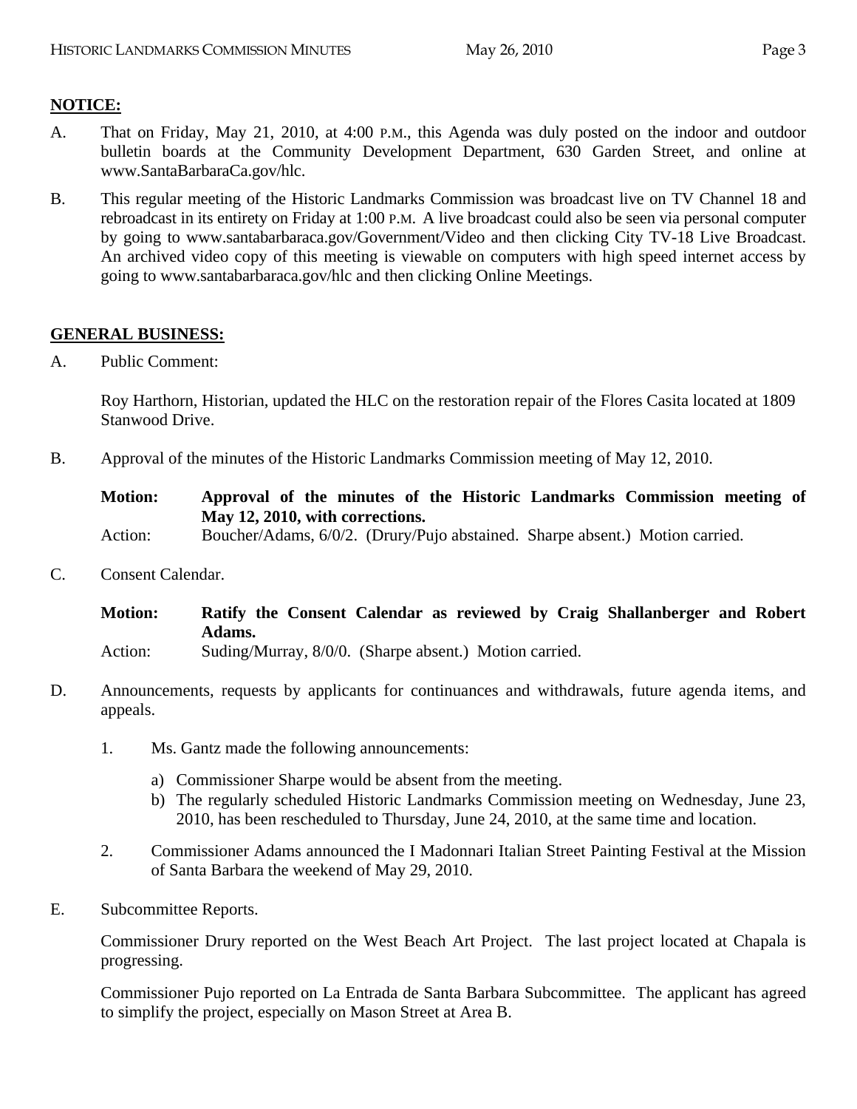# **NOTICE:**

- A. That on Friday, May 21, 2010, at 4:00 P.M., this Agenda was duly posted on the indoor and outdoor bulletin boards at the Community Development Department, 630 Garden Street, and online at www.SantaBarbaraCa.gov/hlc.
- B. This regular meeting of the Historic Landmarks Commission was broadcast live on TV Channel 18 and rebroadcast in its entirety on Friday at 1:00 P.M. A live broadcast could also be seen via personal computer by going to www.santabarbaraca.gov/Government/Video and then clicking City TV-18 Live Broadcast. An archived video copy of this meeting is viewable on computers with high speed internet access by going to www.santabarbaraca.gov/hlc and then clicking Online Meetings.

# **GENERAL BUSINESS:**

A. Public Comment:

Roy Harthorn, Historian, updated the HLC on the restoration repair of the Flores Casita located at 1809 Stanwood Drive.

B. Approval of the minutes of the Historic Landmarks Commission meeting of May 12, 2010.

**Motion: Approval of the minutes of the Historic Landmarks Commission meeting of May 12, 2010, with corrections.** 

Action: Boucher/Adams, 6/0/2. (Drury/Pujo abstained. Sharpe absent.) Motion carried.

C. Consent Calendar.

**Motion: Ratify the Consent Calendar as reviewed by Craig Shallanberger and Robert Adams.** 

- Action: Suding/Murray, 8/0/0. (Sharpe absent.) Motion carried.
- D. Announcements, requests by applicants for continuances and withdrawals, future agenda items, and appeals.
	- 1. Ms. Gantz made the following announcements:
		- a) Commissioner Sharpe would be absent from the meeting.
		- b) The regularly scheduled Historic Landmarks Commission meeting on Wednesday, June 23, 2010, has been rescheduled to Thursday, June 24, 2010, at the same time and location.
	- 2. Commissioner Adams announced the I Madonnari Italian Street Painting Festival at the Mission of Santa Barbara the weekend of May 29, 2010.
- E. Subcommittee Reports.

Commissioner Drury reported on the West Beach Art Project. The last project located at Chapala is progressing.

Commissioner Pujo reported on La Entrada de Santa Barbara Subcommittee. The applicant has agreed to simplify the project, especially on Mason Street at Area B.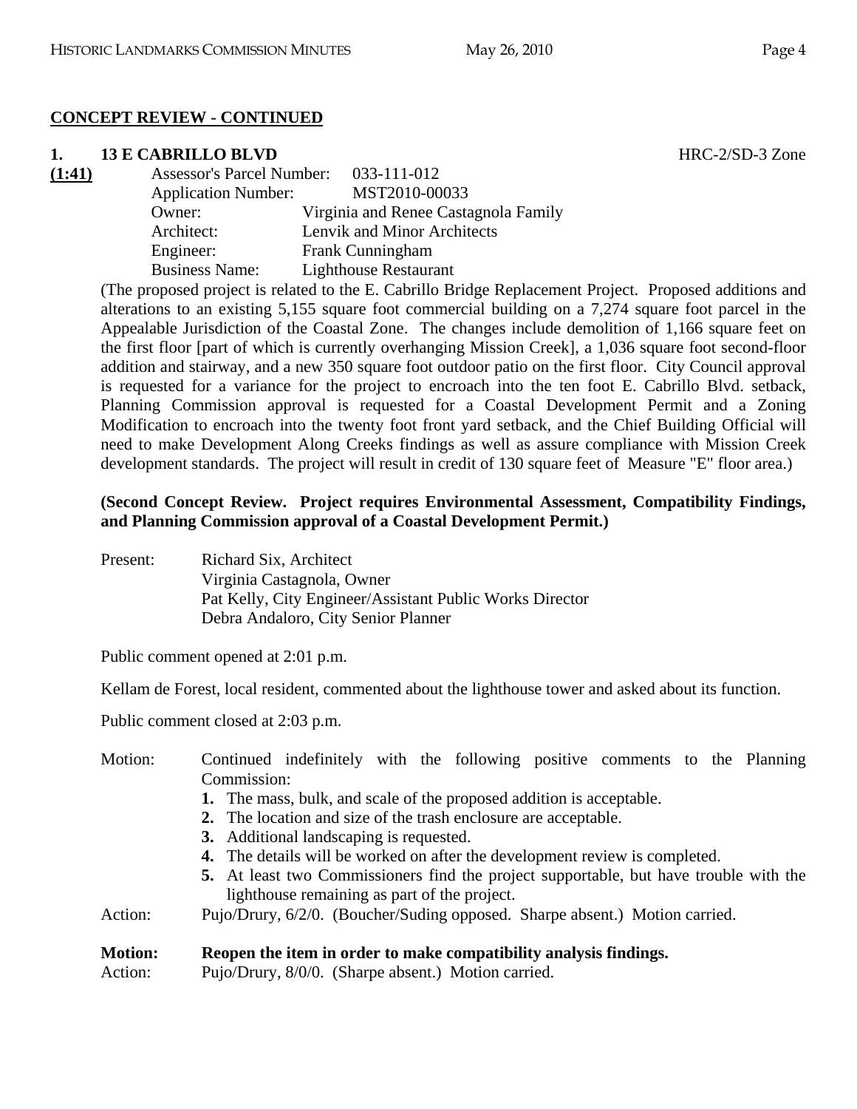# **CONCEPT REVIEW - CONTINUED**

# **1. 13 E CABRILLO BLVD** HRC-2/SD-3 Zone

| (1:41) | <b>Assessor's Parcel Number:</b> | 033-111-012                          |
|--------|----------------------------------|--------------------------------------|
|        | <b>Application Number:</b>       | MST2010-00033                        |
|        | Owner:                           | Virginia and Renee Castagnola Family |
|        | Architect:                       | Lenvik and Minor Architects          |
|        | Engineer:                        | Frank Cunningham                     |
|        | <b>Business Name:</b>            | <b>Lighthouse Restaurant</b>         |

(The proposed project is related to the E. Cabrillo Bridge Replacement Project. Proposed additions and alterations to an existing 5,155 square foot commercial building on a 7,274 square foot parcel in the Appealable Jurisdiction of the Coastal Zone. The changes include demolition of 1,166 square feet on the first floor [part of which is currently overhanging Mission Creek], a 1,036 square foot second-floor addition and stairway, and a new 350 square foot outdoor patio on the first floor. City Council approval is requested for a variance for the project to encroach into the ten foot E. Cabrillo Blvd. setback, Planning Commission approval is requested for a Coastal Development Permit and a Zoning Modification to encroach into the twenty foot front yard setback, and the Chief Building Official will need to make Development Along Creeks findings as well as assure compliance with Mission Creek development standards. The project will result in credit of 130 square feet of Measure "E" floor area.)

# **(Second Concept Review. Project requires Environmental Assessment, Compatibility Findings, and Planning Commission approval of a Coastal Development Permit.)**

Present: Richard Six, Architect Virginia Castagnola, Owner Pat Kelly, City Engineer/Assistant Public Works Director Debra Andaloro, City Senior Planner

Public comment opened at 2:01 p.m.

Kellam de Forest, local resident, commented about the lighthouse tower and asked about its function.

Public comment closed at 2:03 p.m.

| Motion:        | Continued indefinitely with the following positive comments to the Planning                                                           |
|----------------|---------------------------------------------------------------------------------------------------------------------------------------|
|                | Commission:                                                                                                                           |
|                | 1. The mass, bulk, and scale of the proposed addition is acceptable.                                                                  |
|                | 2. The location and size of the trash enclosure are acceptable.                                                                       |
|                | 3. Additional landscaping is requested.                                                                                               |
|                | <b>4.</b> The details will be worked on after the development review is completed.                                                    |
|                | 5. At least two Commissioners find the project supportable, but have trouble with the<br>lighthouse remaining as part of the project. |
| Action:        | Pujo/Drury, 6/2/0. (Boucher/Suding opposed. Sharpe absent.) Motion carried.                                                           |
| <b>Motion:</b> | Reopen the item in order to make compatibility analysis findings.                                                                     |
| Action:        | Pujo/Drury, 8/0/0. (Sharpe absent.) Motion carried.                                                                                   |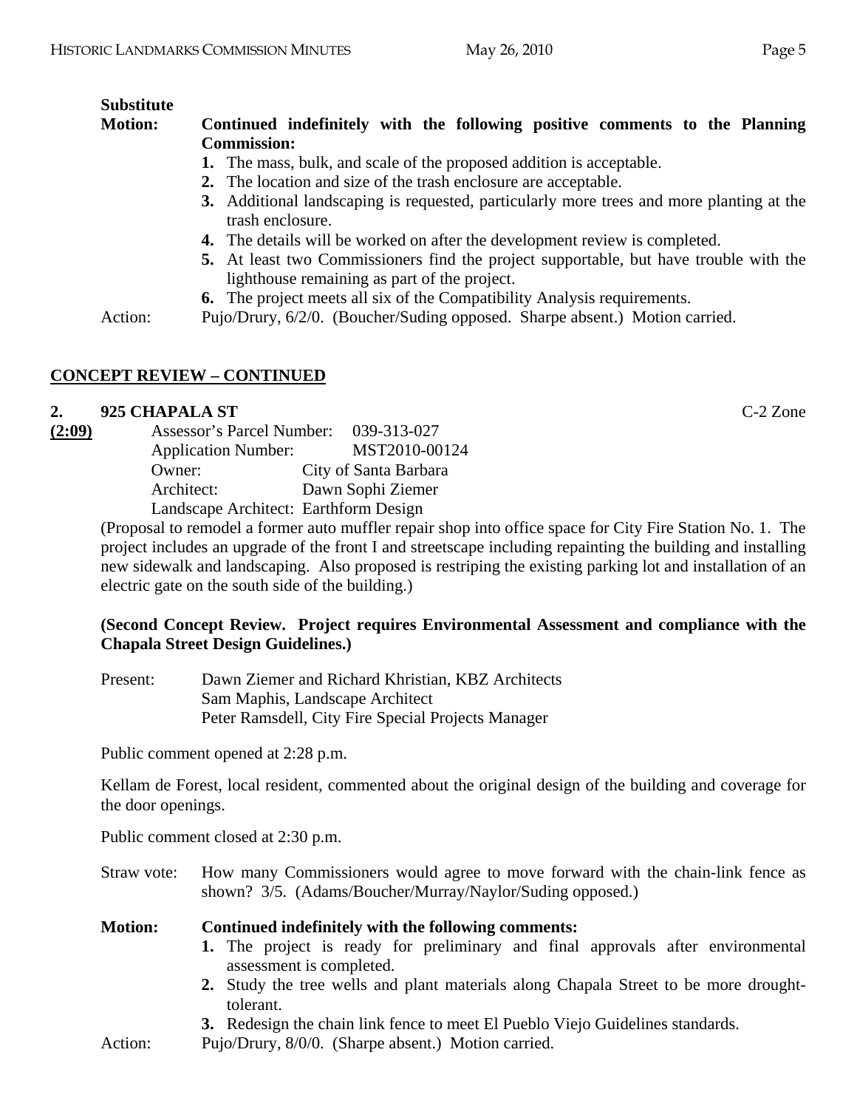# **Substitute**

# **Motion: Continued indefinitely with the following positive comments to the Planning Commission:**

- **1.** The mass, bulk, and scale of the proposed addition is acceptable.
- **2.** The location and size of the trash enclosure are acceptable.
- **3.** Additional landscaping is requested, particularly more trees and more planting at the trash enclosure.
- **4.** The details will be worked on after the development review is completed.
- **5.** At least two Commissioners find the project supportable, but have trouble with the lighthouse remaining as part of the project.
- **6.** The project meets all six of the Compatibility Analysis requirements.

Action: Pujo/Drury, 6/2/0. (Boucher/Suding opposed. Sharpe absent.) Motion carried.

# **CONCEPT REVIEW – CONTINUED**

# **2. 925 CHAPALA ST** C-2 Zone

| (2:09)     | Assessor's Parcel Number:             | 039-313-027           |
|------------|---------------------------------------|-----------------------|
|            | <b>Application Number:</b>            | MST2010-00124         |
| Owner:     |                                       | City of Santa Barbara |
| Architect: |                                       | Dawn Sophi Ziemer     |
|            | Landscape Architect: Earthform Design |                       |

(Proposal to remodel a former auto muffler repair shop into office space for City Fire Station No. 1. The project includes an upgrade of the front I and streetscape including repainting the building and installing new sidewalk and landscaping. Also proposed is restriping the existing parking lot and installation of an electric gate on the south side of the building.)

# **(Second Concept Review. Project requires Environmental Assessment and compliance with the Chapala Street Design Guidelines.)**

Present: Dawn Ziemer and Richard Khristian, KBZ Architects Sam Maphis, Landscape Architect Peter Ramsdell, City Fire Special Projects Manager

Public comment opened at 2:28 p.m.

Kellam de Forest, local resident, commented about the original design of the building and coverage for the door openings.

Public comment closed at 2:30 p.m.

Straw vote: How many Commissioners would agree to move forward with the chain-link fence as shown? 3/5. (Adams/Boucher/Murray/Naylor/Suding opposed.)

**Motion: Continued indefinitely with the following comments: 1.** The project is ready for preliminary and final approvals after environmental assessment is completed.

- **2.** Study the tree wells and plant materials along Chapala Street to be more droughttolerant.
- **3.** Redesign the chain link fence to meet El Pueblo Viejo Guidelines standards.
- Action: Pujo/Drury,  $8/0/0$ . (Sharpe absent.) Motion carried.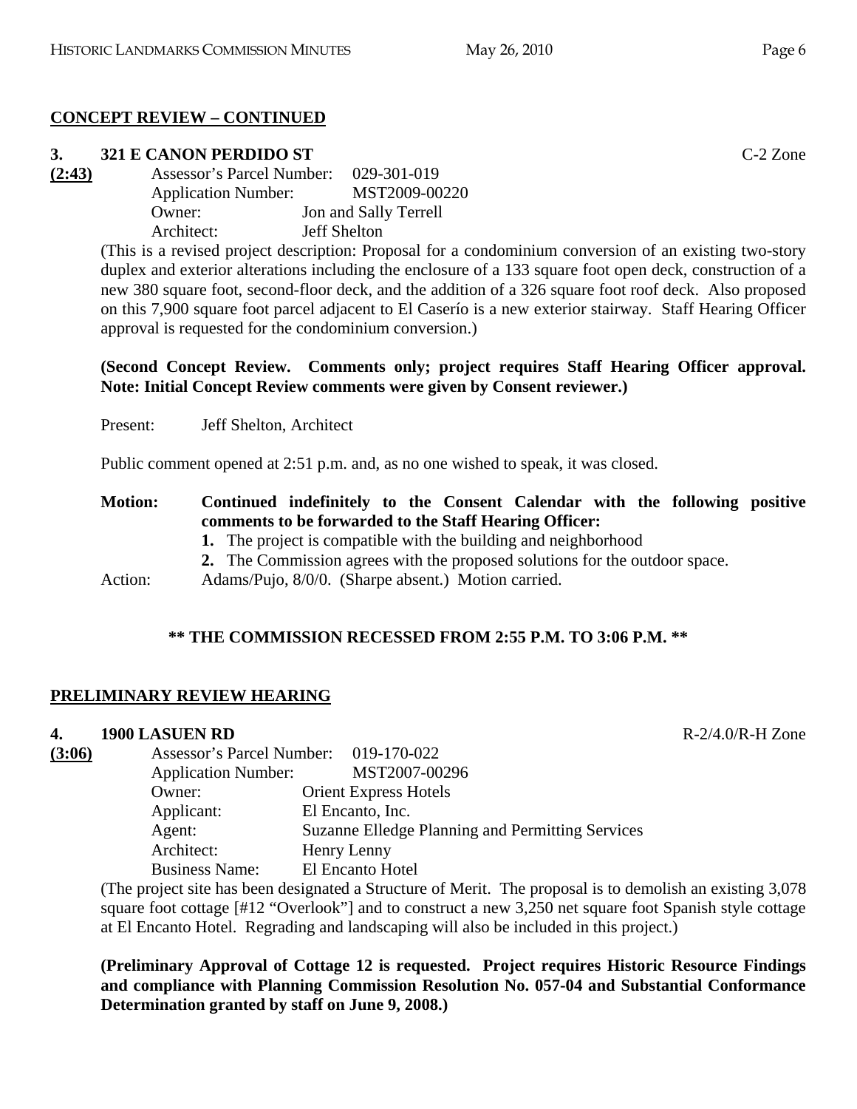# **CONCEPT REVIEW – CONTINUED**

# **3. 321 E CANON PERDIDO ST** C-2 Zone

**(2:43)** Assessor's Parcel Number: 029-301-019 Application Number: MST2009-00220 Owner: Jon and Sally Terrell Architect: Jeff Shelton

(This is a revised project description: Proposal for a condominium conversion of an existing two-story duplex and exterior alterations including the enclosure of a 133 square foot open deck, construction of a new 380 square foot, second-floor deck, and the addition of a 326 square foot roof deck. Also proposed on this 7,900 square foot parcel adjacent to El Caserío is a new exterior stairway. Staff Hearing Officer approval is requested for the condominium conversion.)

# **(Second Concept Review. Comments only; project requires Staff Hearing Officer approval. Note: Initial Concept Review comments were given by Consent reviewer.)**

Present: Jeff Shelton, Architect

Public comment opened at 2:51 p.m. and, as no one wished to speak, it was closed.

# **Motion: Continued indefinitely to the Consent Calendar with the following positive comments to be forwarded to the Staff Hearing Officer:**

- **1.** The project is compatible with the building and neighborhood
- **2.** The Commission agrees with the proposed solutions for the outdoor space.
- Action: Adams/Pujo, 8/0/0. (Sharpe absent.) Motion carried.

# **\*\* THE COMMISSION RECESSED FROM 2:55 P.M. TO 3:06 P.M. \*\***

# **PRELIMINARY REVIEW HEARING**

# **4. 1900 LASUEN RD**

| $R-2/4.0/R-H$ Zone |
|--------------------|
|                    |

| т.     | 1700 LAQUEN IV                        |                                                  |
|--------|---------------------------------------|--------------------------------------------------|
| (3:06) | Assessor's Parcel Number: 019-170-022 |                                                  |
|        | <b>Application Number:</b>            | MST2007-00296                                    |
|        | Owner:                                | <b>Orient Express Hotels</b>                     |
|        | Applicant:                            | El Encanto, Inc.                                 |
|        | Agent:                                | Suzanne Elledge Planning and Permitting Services |
|        | Architect:                            | Henry Lenny                                      |
|        | <b>Business Name:</b>                 | El Encanto Hotel                                 |
|        |                                       |                                                  |

(The project site has been designated a Structure of Merit. The proposal is to demolish an existing 3,078 square foot cottage [#12 "Overlook"] and to construct a new 3,250 net square foot Spanish style cottage at El Encanto Hotel. Regrading and landscaping will also be included in this project.)

**(Preliminary Approval of Cottage 12 is requested. Project requires Historic Resource Findings and compliance with Planning Commission Resolution No. 057-04 and Substantial Conformance Determination granted by staff on June 9, 2008.)**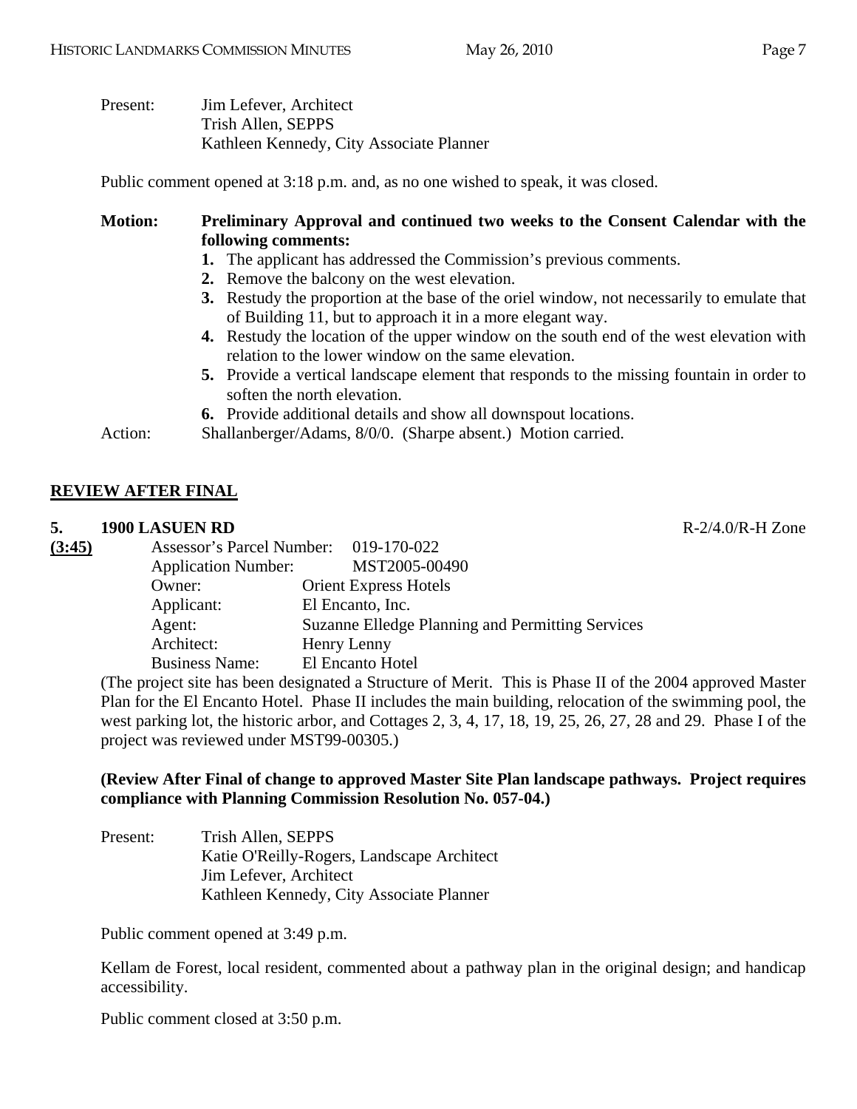| Present: | Jim Lefever, Architect                   |
|----------|------------------------------------------|
|          | Trish Allen, SEPPS                       |
|          | Kathleen Kennedy, City Associate Planner |

Public comment opened at 3:18 p.m. and, as no one wished to speak, it was closed.

# **Motion: Preliminary Approval and continued two weeks to the Consent Calendar with the following comments:**

- **1.** The applicant has addressed the Commission's previous comments.
- **2.** Remove the balcony on the west elevation.
- **3.** Restudy the proportion at the base of the oriel window, not necessarily to emulate that of Building 11, but to approach it in a more elegant way.
- **4.** Restudy the location of the upper window on the south end of the west elevation with relation to the lower window on the same elevation.
- **5.** Provide a vertical landscape element that responds to the missing fountain in order to soften the north elevation.

**6.** Provide additional details and show all downspout locations.

Action: Shallanberger/Adams, 8/0/0. (Sharpe absent.) Motion carried.

# **REVIEW AFTER FINAL**

#### **5. 1900 LASUEN RD** R-2/4.0/R-H Zone

| Assessor's Parcel Number: 019-170-022<br><b>Application Number:</b> | MST2005-00490                                    |
|---------------------------------------------------------------------|--------------------------------------------------|
| Owner:                                                              | <b>Orient Express Hotels</b>                     |
| Applicant:                                                          | El Encanto, Inc.                                 |
| Agent:                                                              | Suzanne Elledge Planning and Permitting Services |
| Architect:                                                          | Henry Lenny                                      |
| <b>Business Name:</b>                                               | El Encanto Hotel                                 |
|                                                                     |                                                  |

(The project site has been designated a Structure of Merit. This is Phase II of the 2004 approved Master Plan for the El Encanto Hotel. Phase II includes the main building, relocation of the swimming pool, the west parking lot, the historic arbor, and Cottages 2, 3, 4, 17, 18, 19, 25, 26, 27, 28 and 29. Phase I of the project was reviewed under MST99-00305.)

#### **(Review After Final of change to approved Master Site Plan landscape pathways. Project requires compliance with Planning Commission Resolution No. 057-04.)**

Present: Trish Allen, SEPPS Katie O'Reilly-Rogers, Landscape Architect Jim Lefever, Architect Kathleen Kennedy, City Associate Planner

Public comment opened at 3:49 p.m.

Kellam de Forest, local resident, commented about a pathway plan in the original design; and handicap accessibility.

Public comment closed at 3:50 p.m.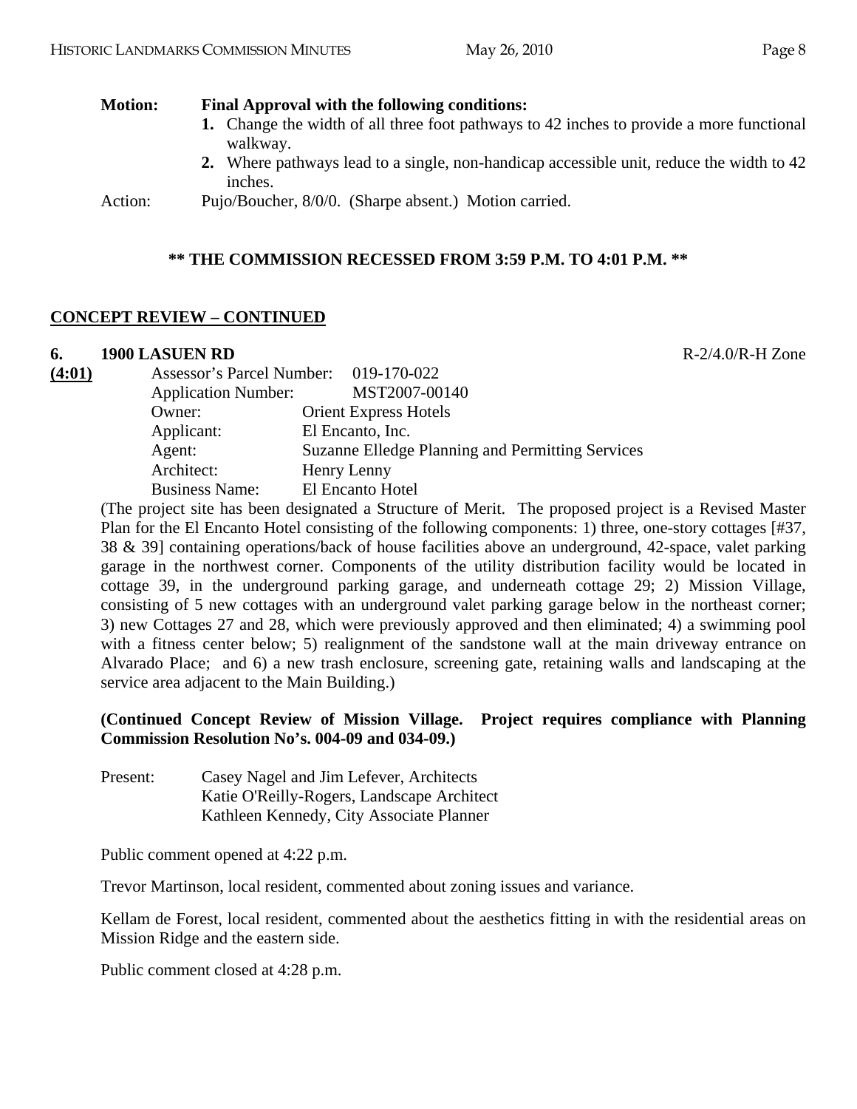| <b>Motion:</b> | Final Approval with the following conditions:                                                        |  |  |
|----------------|------------------------------------------------------------------------------------------------------|--|--|
|                | 1. Change the width of all three foot pathways to 42 inches to provide a more functional<br>walkway. |  |  |
|                | 2. Where pathways lead to a single, non-handicap accessible unit, reduce the width to 42<br>inches.  |  |  |
| Action:        | Pujo/Boucher, 8/0/0. (Sharpe absent.) Motion carried.                                                |  |  |

## **\*\* THE COMMISSION RECESSED FROM 3:59 P.M. TO 4:01 P.M. \*\***

#### **CONCEPT REVIEW – CONTINUED**

#### **6. 1900 LASUEN RD** R-2/4.0/R-H Zone

| Suzanne Elledge Planning and Permitting Services |
|--------------------------------------------------|
|                                                  |
|                                                  |
|                                                  |

(The project site has been designated a Structure of Merit. The proposed project is a Revised Master Plan for the El Encanto Hotel consisting of the following components: 1) three, one-story cottages [#37, 38 & 39] containing operations/back of house facilities above an underground, 42-space, valet parking garage in the northwest corner. Components of the utility distribution facility would be located in cottage 39, in the underground parking garage, and underneath cottage 29; 2) Mission Village, consisting of 5 new cottages with an underground valet parking garage below in the northeast corner; 3) new Cottages 27 and 28, which were previously approved and then eliminated; 4) a swimming pool with a fitness center below; 5) realignment of the sandstone wall at the main driveway entrance on Alvarado Place; and 6) a new trash enclosure, screening gate, retaining walls and landscaping at the service area adjacent to the Main Building.)

#### **(Continued Concept Review of Mission Village. Project requires compliance with Planning Commission Resolution No's. 004-09 and 034-09.)**

Present: Casey Nagel and Jim Lefever, Architects Katie O'Reilly-Rogers, Landscape Architect Kathleen Kennedy, City Associate Planner

Public comment opened at 4:22 p.m.

Trevor Martinson, local resident, commented about zoning issues and variance.

Kellam de Forest, local resident, commented about the aesthetics fitting in with the residential areas on Mission Ridge and the eastern side.

Public comment closed at 4:28 p.m.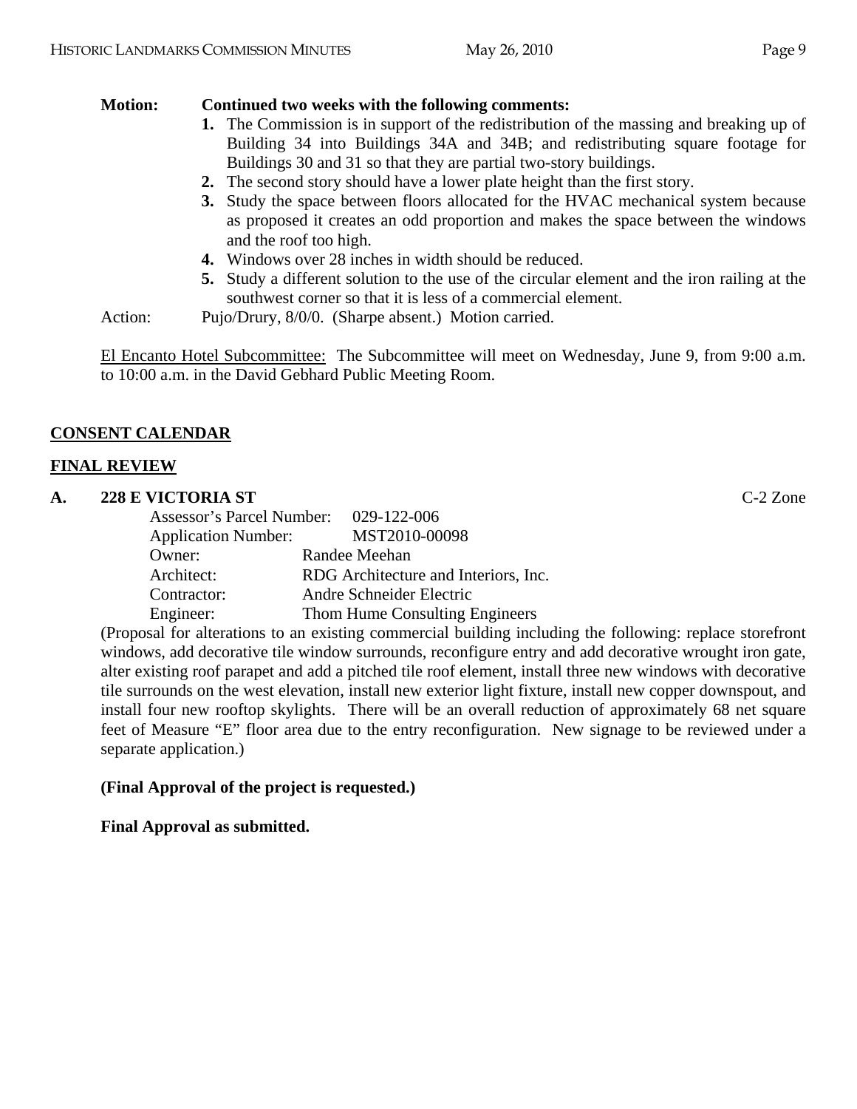# **Motion: Continued two weeks with the following comments:**

- **1.** The Commission is in support of the redistribution of the massing and breaking up of Building 34 into Buildings 34A and 34B; and redistributing square footage for Buildings 30 and 31 so that they are partial two-story buildings.
- **2.** The second story should have a lower plate height than the first story.
- **3.** Study the space between floors allocated for the HVAC mechanical system because as proposed it creates an odd proportion and makes the space between the windows and the roof too high.
- **4.** Windows over 28 inches in width should be reduced.
- **5.** Study a different solution to the use of the circular element and the iron railing at the southwest corner so that it is less of a commercial element.
- Action: Pujo/Drury,  $8/0/0$ . (Sharpe absent.) Motion carried.

El Encanto Hotel Subcommittee: The Subcommittee will meet on Wednesday, June 9, from 9:00 a.m. to 10:00 a.m. in the David Gebhard Public Meeting Room.

# **CONSENT CALENDAR**

# **FINAL REVIEW**

# **A. 228 E VICTORIA ST** C-2 Zone

| Assessor's Parcel Number: 029-122-006 |                                      |
|---------------------------------------|--------------------------------------|
| <b>Application Number:</b>            | MST2010-00098                        |
| Owner:                                | Randee Meehan                        |
| Architect:                            | RDG Architecture and Interiors, Inc. |
| Contractor:                           | Andre Schneider Electric             |
| Engineer:                             | Thom Hume Consulting Engineers       |

(Proposal for alterations to an existing commercial building including the following: replace storefront windows, add decorative tile window surrounds, reconfigure entry and add decorative wrought iron gate, alter existing roof parapet and add a pitched tile roof element, install three new windows with decorative tile surrounds on the west elevation, install new exterior light fixture, install new copper downspout, and install four new rooftop skylights. There will be an overall reduction of approximately 68 net square feet of Measure "E" floor area due to the entry reconfiguration. New signage to be reviewed under a separate application.)

# **(Final Approval of the project is requested.)**

# **Final Approval as submitted.**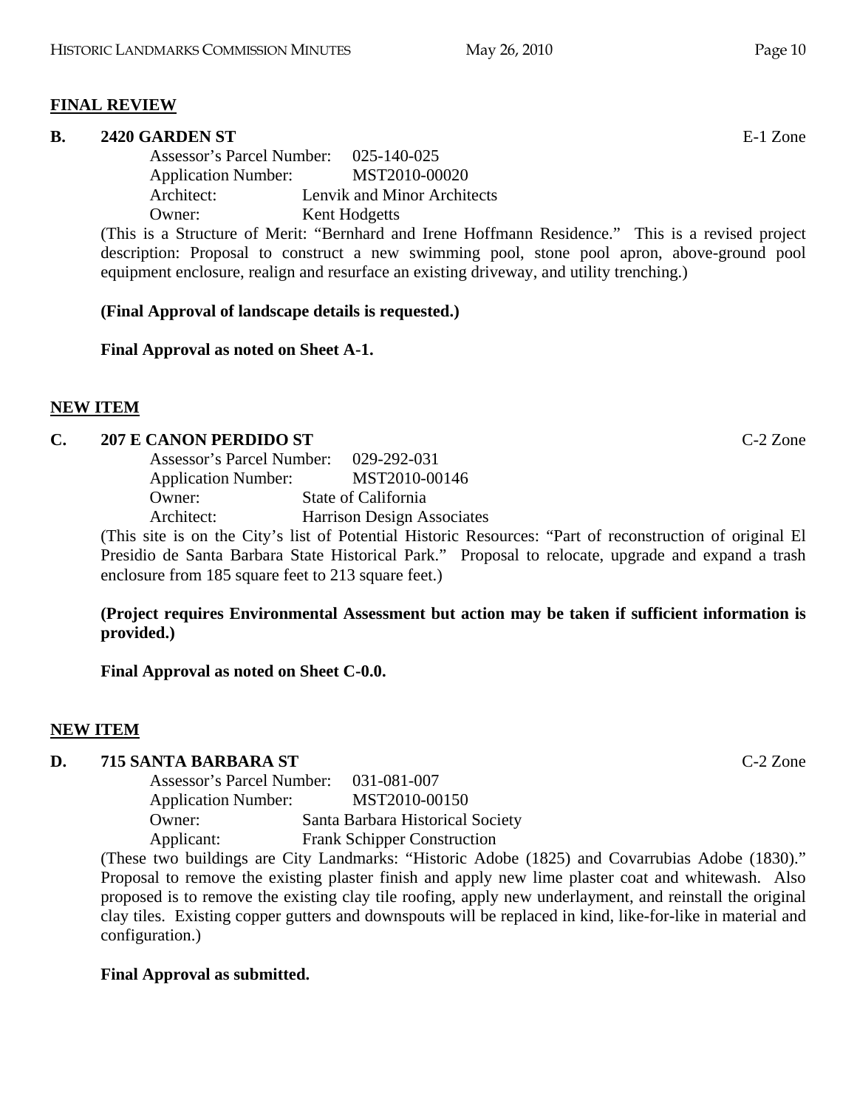#### **FINAL REVIEW**

#### **B.** 2420 GARDEN ST

 Assessor's Parcel Number: 025-140-025 Application Number: MST2010-00020 Architect: Lenvik and Minor Architects Owner: Kent Hodgetts

(This is a Structure of Merit: "Bernhard and Irene Hoffmann Residence." This is a revised project description: Proposal to construct a new swimming pool, stone pool apron, above-ground pool equipment enclosure, realign and resurface an existing driveway, and utility trenching.)

#### **(Final Approval of landscape details is requested.)**

#### **Final Approval as noted on Sheet A-1.**

#### **NEW ITEM**

#### **C. 207 E CANON PERDIDO ST** C-2 Zone

 Assessor's Parcel Number: 029-292-031 Application Number: MST2010-00146 Owner: State of California Architect: Harrison Design Associates

(This site is on the City's list of Potential Historic Resources: "Part of reconstruction of original El Presidio de Santa Barbara State Historical Park." Proposal to relocate, upgrade and expand a trash enclosure from 185 square feet to 213 square feet.)

#### **(Project requires Environmental Assessment but action may be taken if sufficient information is provided.)**

**Final Approval as noted on Sheet C-0.0.** 

#### **NEW ITEM**

#### **D. 715 SANTA BARBARA ST** C-2 Zone

 Assessor's Parcel Number: 031-081-007 Application Number: MST2010-00150 Owner: Santa Barbara Historical Society Applicant: Frank Schipper Construction

(These two buildings are City Landmarks: "Historic Adobe (1825) and Covarrubias Adobe (1830)." Proposal to remove the existing plaster finish and apply new lime plaster coat and whitewash. Also proposed is to remove the existing clay tile roofing, apply new underlayment, and reinstall the original clay tiles. Existing copper gutters and downspouts will be replaced in kind, like-for-like in material and configuration.)

#### **Final Approval as submitted.**